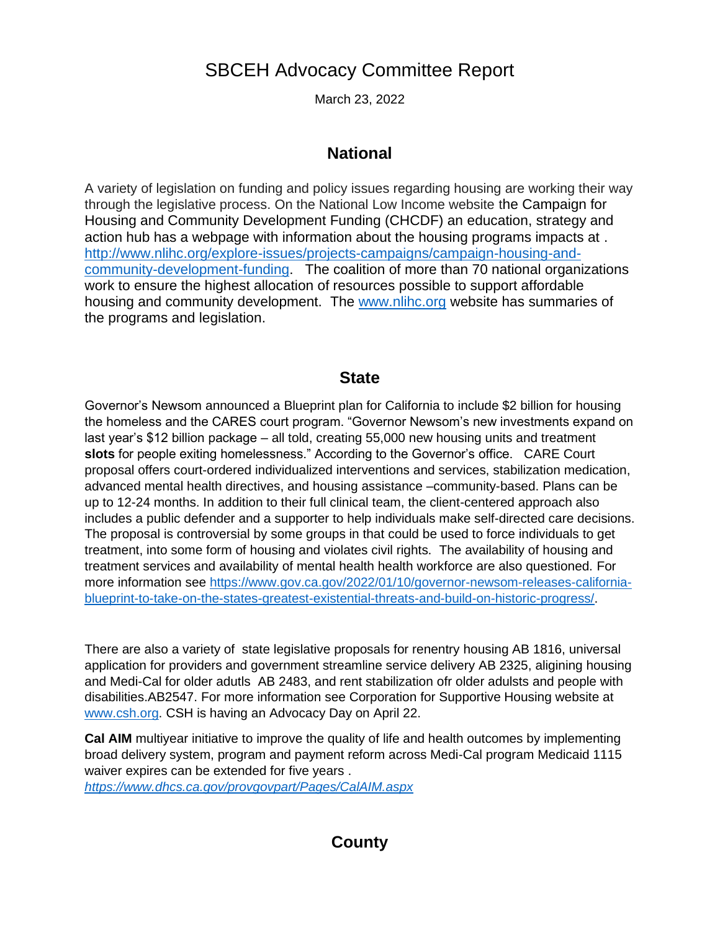## SBCEH Advocacy Committee Report

March 23, 2022

## **National**

A variety of legislation on funding and policy issues regarding housing are working their way through the legislative process. On the National Low Income website the Campaign for Housing and Community Development Funding (CHCDF) an education, strategy and action hub has a webpage with information about the housing programs impacts at . [http://www.nlihc.org/explore-issues/projects-campaigns/campaign-housing-and](http://www.nlihc.org/explore-issues/projects-campaigns/campaign-housing-and-community-development-funding)[community-development-funding.](http://www.nlihc.org/explore-issues/projects-campaigns/campaign-housing-and-community-development-funding) The coalition of more than 70 national organizations work to ensure the highest allocation of resources possible to support affordable housing and community development. The [www.nlihc.org](http://www.nlihc.org/) website has summaries of the programs and legislation.

## **State**

Governor's Newsom announced a Blueprint plan for California to include \$2 billion for housing the homeless and the CARES court program. "Governor Newsom's new investments expand on last year's \$12 billion package – all told, creating 55,000 new housing units and treatment **slots** for people exiting homelessness." According to the Governor's office. CARE Court proposal offers court-ordered individualized interventions and services, stabilization medication, advanced mental health directives, and housing assistance –community-based. Plans can be up to 12-24 months. In addition to their full clinical team, the client-centered approach also includes a public defender and a supporter to help individuals make self-directed care decisions. The proposal is controversial by some groups in that could be used to force individuals to get treatment, into some form of housing and violates civil rights. The availability of housing and treatment services and availability of mental health health workforce are also questioned. For more information see [https://www.gov.ca.gov/2022/01/10/governor-newsom-releases-california](https://www.gov.ca.gov/2022/01/10/governor-newsom-releases-california-blueprint-to-take-on-the-states-greatest-existential-threats-and-build-on-historic-progress/)[blueprint-to-take-on-the-states-greatest-existential-threats-and-build-on-historic-progress/.](https://www.gov.ca.gov/2022/01/10/governor-newsom-releases-california-blueprint-to-take-on-the-states-greatest-existential-threats-and-build-on-historic-progress/)

There are also a variety of state legislative proposals for renentry housing AB 1816, universal application for providers and government streamline service delivery AB 2325, aligining housing and Medi-Cal for older adutls AB 2483, and rent stabilization ofr older adulsts and people with disabilities.AB2547. For more information see Corporation for Supportive Housing website at [www.csh.org.](http://www.csh.org/) CSH is having an Advocacy Day on April 22.

**Cal AIM** multiyear initiative to improve the quality of life and health outcomes by implementing broad delivery system, program and payment reform across Medi-Cal program Medicaid 1115 waiver expires can be extended for five years . *<https://www.dhcs.ca.gov/provgovpart/Pages/CalAIM.aspx>*

## **County**